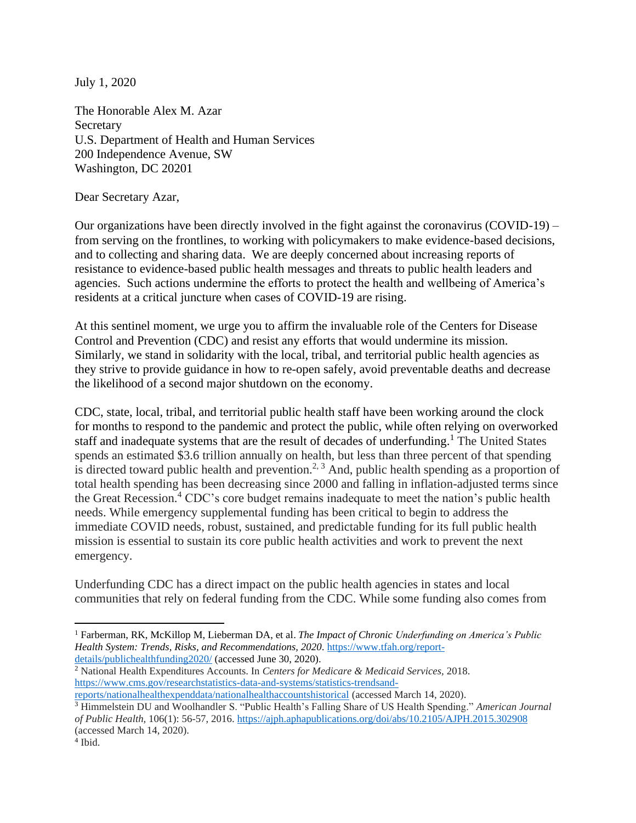July 1, 2020

The Honorable Alex M. Azar **Secretary** U.S. Department of Health and Human Services 200 Independence Avenue, SW Washington, DC 20201

Dear Secretary Azar,

Our organizations have been directly involved in the fight against the coronavirus (COVID-19) – from serving on the frontlines, to working with policymakers to make evidence-based decisions, and to collecting and sharing data. We are deeply concerned about increasing reports of resistance to evidence-based public health messages and threats to public health leaders and agencies. Such actions undermine the efforts to protect the health and wellbeing of America's residents at a critical juncture when cases of COVID-19 are rising.

At this sentinel moment, we urge you to affirm the invaluable role of the Centers for Disease Control and Prevention (CDC) and resist any efforts that would undermine its mission. Similarly, we stand in solidarity with the local, tribal, and territorial public health agencies as they strive to provide guidance in how to re-open safely, avoid preventable deaths and decrease the likelihood of a second major shutdown on the economy.

CDC, state, local, tribal, and territorial public health staff have been working around the clock for months to respond to the pandemic and protect the public, while often relying on overworked staff and inadequate systems that are the result of decades of underfunding.<sup>1</sup> The United States spends an estimated \$3.6 trillion annually on health, but less than three percent of that spending is directed toward public health and prevention.<sup>2, 3</sup> And, public health spending as a proportion of total health spending has been decreasing since 2000 and falling in inflation-adjusted terms since the Great Recession.<sup>4</sup> CDC's core budget remains inadequate to meet the nation's public health needs. While emergency supplemental funding has been critical to begin to address the immediate COVID needs, robust, sustained, and predictable funding for its full public health mission is essential to sustain its core public health activities and work to prevent the next emergency.

Underfunding CDC has a direct impact on the public health agencies in states and local communities that rely on federal funding from the CDC. While some funding also comes from

<sup>2</sup> National Health Expenditures Accounts. In *Centers for Medicare & Medicaid Services,* 2018. [https://www.cms.gov/researchstatistics-data-and-systems/statistics-trendsand-](https://www.cms.gov/researchstatistics-data-and-systems/statistics-trendsand-reports/nationalhealthexpenddata/nationalhealthaccountshistorical)

<sup>1</sup> Farberman, RK, McKillop M, Lieberman DA, et al. *The Impact of Chronic Underfunding on America's Public Health System: Trends, Risks, and Recommendations, 2020.* [https://www.tfah.org/report](https://www.tfah.org/report-details/publichealthfunding2020/)[details/publichealthfunding2020/](https://www.tfah.org/report-details/publichealthfunding2020/) (accessed June 30, 2020).

[reports/nationalhealthexpenddata/nationalhealthaccountshistorical](https://www.cms.gov/researchstatistics-data-and-systems/statistics-trendsand-reports/nationalhealthexpenddata/nationalhealthaccountshistorical) (accessed March 14, 2020).

<sup>3</sup> Himmelstein DU and Woolhandler S. "Public Health's Falling Share of US Health Spending." *American Journal of Public Health,* 106(1): 56-57, 2016.<https://ajph.aphapublications.org/doi/abs/10.2105/AJPH.2015.302908> (accessed March 14, 2020).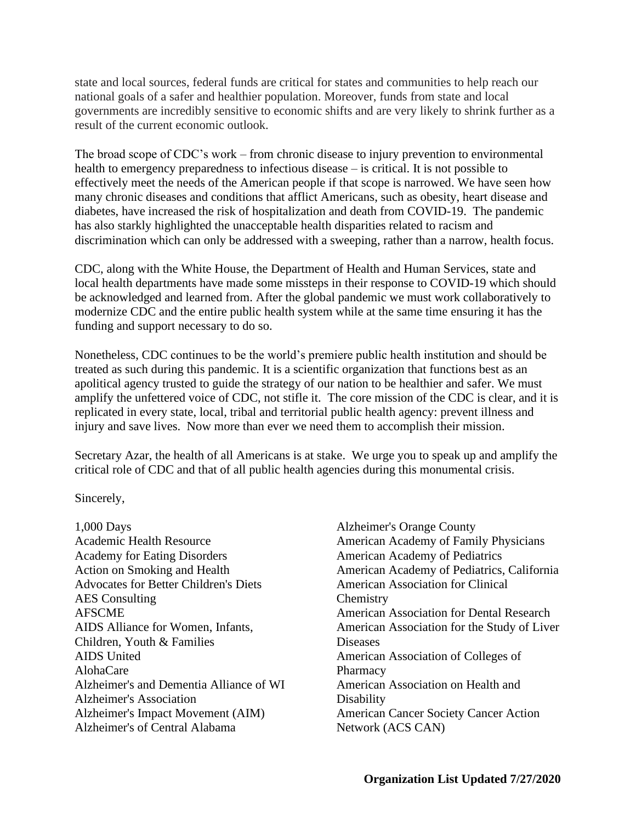state and local sources, federal funds are critical for states and communities to help reach our national goals of a safer and healthier population. Moreover, funds from state and local governments are incredibly sensitive to economic shifts and are very likely to shrink further as a result of the current economic outlook.

The broad scope of CDC's work – from chronic disease to injury prevention to environmental health to emergency preparedness to infectious disease – is critical. It is not possible to effectively meet the needs of the American people if that scope is narrowed. We have seen how many chronic diseases and conditions that afflict Americans, such as obesity, heart disease and diabetes, have increased the risk of hospitalization and death from COVID-19. The pandemic has also starkly highlighted the unacceptable health disparities related to racism and discrimination which can only be addressed with a sweeping, rather than a narrow, health focus.

CDC, along with the White House, the Department of Health and Human Services, state and local health departments have made some missteps in their response to COVID-19 which should be acknowledged and learned from. After the global pandemic we must work collaboratively to modernize CDC and the entire public health system while at the same time ensuring it has the funding and support necessary to do so.

Nonetheless, CDC continues to be the world's premiere public health institution and should be treated as such during this pandemic. It is a scientific organization that functions best as an apolitical agency trusted to guide the strategy of our nation to be healthier and safer. We must amplify the unfettered voice of CDC, not stifle it. The core mission of the CDC is clear, and it is replicated in every state, local, tribal and territorial public health agency: prevent illness and injury and save lives. Now more than ever we need them to accomplish their mission.

Secretary Azar, the health of all Americans is at stake. We urge you to speak up and amplify the critical role of CDC and that of all public health agencies during this monumental crisis.

Sincerely,

1,000 Days Academic Health Resource Academy for Eating Disorders Action on Smoking and Health Advocates for Better Children's Diets AES Consulting AFSCME AIDS Alliance for Women, Infants, Children, Youth & Families AIDS United AlohaCare Alzheimer's and Dementia Alliance of WI Alzheimer's Association Alzheimer's Impact Movement (AIM) Alzheimer's of Central Alabama

Alzheimer's Orange County American Academy of Family Physicians American Academy of Pediatrics American Academy of Pediatrics, California American Association for Clinical **Chemistry** American Association for Dental Research American Association for the Study of Liver Diseases American Association of Colleges of **Pharmacy** American Association on Health and **Disability** American Cancer Society Cancer Action Network (ACS CAN)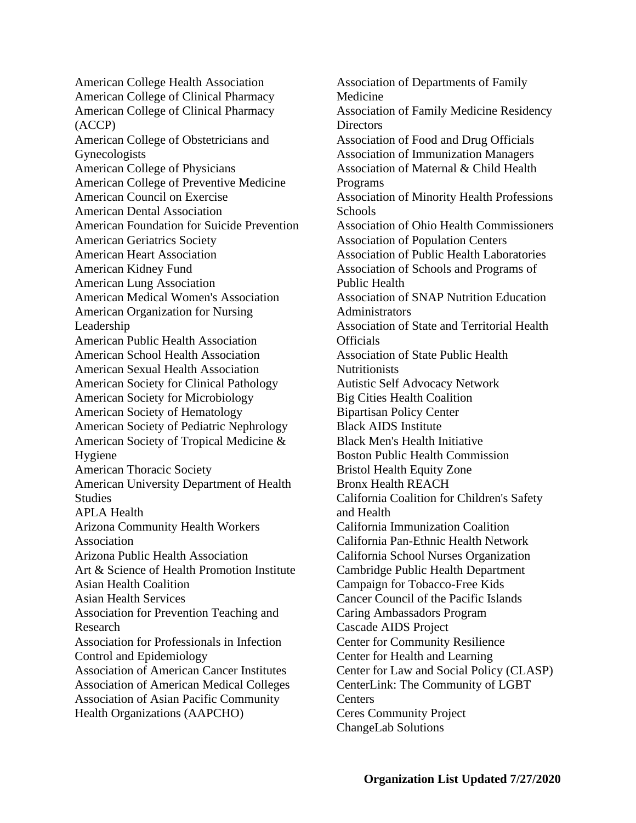American College Health Association American College of Clinical Pharmacy American College of Clinical Pharmacy (ACCP) American College of Obstetricians and Gynecologists American College of Physicians American College of Preventive Medicine American Council on Exercise American Dental Association American Foundation for Suicide Prevention American Geriatrics Society American Heart Association American Kidney Fund American Lung Association American Medical Women's Association American Organization for Nursing Leadership American Public Health Association American School Health Association American Sexual Health Association American Society for Clinical Pathology American Society for Microbiology American Society of Hematology American Society of Pediatric Nephrology American Society of Tropical Medicine & Hygiene American Thoracic Society American University Department of Health Studies APLA Health Arizona Community Health Workers Association Arizona Public Health Association Art & Science of Health Promotion Institute Asian Health Coalition Asian Health Services Association for Prevention Teaching and Research Association for Professionals in Infection Control and Epidemiology Association of American Cancer Institutes Association of American Medical Colleges Association of Asian Pacific Community Health Organizations (AAPCHO)

Association of Departments of Family Medicine Association of Family Medicine Residency **Directors** Association of Food and Drug Officials Association of Immunization Managers Association of Maternal & Child Health Programs Association of Minority Health Professions Schools Association of Ohio Health Commissioners Association of Population Centers Association of Public Health Laboratories Association of Schools and Programs of Public Health Association of SNAP Nutrition Education **Administrators** Association of State and Territorial Health **Officials** Association of State Public Health Nutritionists Autistic Self Advocacy Network Big Cities Health Coalition Bipartisan Policy Center Black AIDS Institute Black Men's Health Initiative Boston Public Health Commission Bristol Health Equity Zone Bronx Health REACH California Coalition for Children's Safety and Health California Immunization Coalition California Pan-Ethnic Health Network California School Nurses Organization Cambridge Public Health Department Campaign for Tobacco-Free Kids Cancer Council of the Pacific Islands Caring Ambassadors Program Cascade AIDS Project Center for Community Resilience Center for Health and Learning Center for Law and Social Policy (CLASP) CenterLink: The Community of LGBT **Centers** Ceres Community Project ChangeLab Solutions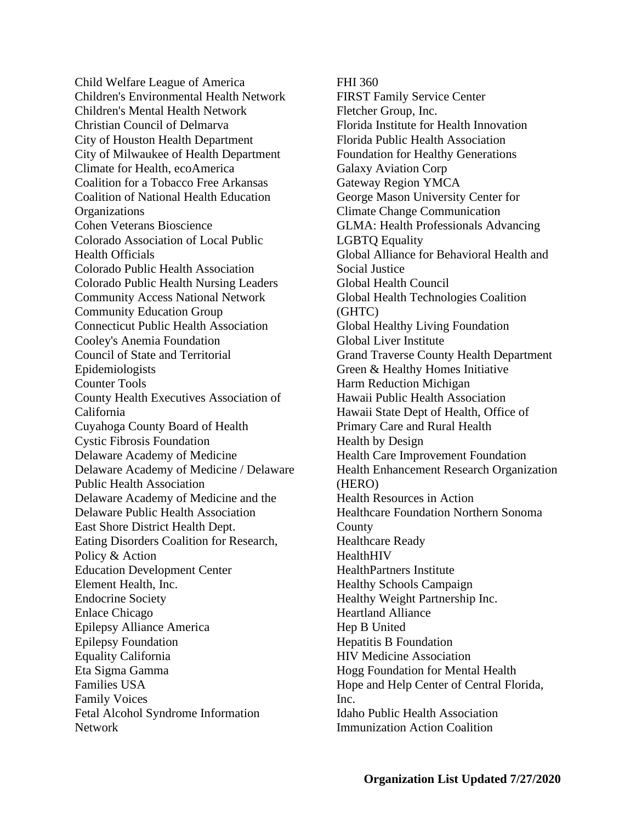Child Welfare League of America Children's Environmental Health Network Children's Mental Health Network Christian Council of Delmarva City of Houston Health Department City of Milwaukee of Health Department Climate for Health, ecoAmerica Coalition for a Tobacco Free Arkansas Coalition of National Health Education **Organizations** Cohen Veterans Bioscience Colorado Association of Local Public Health Officials Colorado Public Health Association Colorado Public Health Nursing Leaders Community Access National Network Community Education Group Connecticut Public Health Association Cooley's Anemia Foundation Council of State and Territorial Epidemiologists Counter Tools County Health Executives Association of California Cuyahoga County Board of Health Cystic Fibrosis Foundation Delaware Academy of Medicine Delaware Academy of Medicine / Delaware Public Health Association Delaware Academy of Medicine and the Delaware Public Health Association East Shore District Health Dept. Eating Disorders Coalition for Research, Policy & Action Education Development Center Element Health, Inc. Endocrine Society Enlace Chicago Epilepsy Alliance America Epilepsy Foundation Equality California Eta Sigma Gamma Families USA Family Voices Fetal Alcohol Syndrome Information Network

FHI 360

FIRST Family Service Center Fletcher Group, Inc. Florida Institute for Health Innovation Florida Public Health Association Foundation for Healthy Generations Galaxy Aviation Corp Gateway Region YMCA George Mason University Center for Climate Change Communication GLMA: Health Professionals Advancing LGBTQ Equality Global Alliance for Behavioral Health and Social Justice Global Health Council Global Health Technologies Coalition (GHTC) Global Healthy Living Foundation Global Liver Institute Grand Traverse County Health Department Green & Healthy Homes Initiative Harm Reduction Michigan Hawaii Public Health Association Hawaii State Dept of Health, Office of Primary Care and Rural Health Health by Design Health Care Improvement Foundation Health Enhancement Research Organization (HERO) Health Resources in Action Healthcare Foundation Northern Sonoma County Healthcare Ready **HealthHIV** HealthPartners Institute Healthy Schools Campaign Healthy Weight Partnership Inc. Heartland Alliance Hep B United Hepatitis B Foundation HIV Medicine Association Hogg Foundation for Mental Health Hope and Help Center of Central Florida, Inc. Idaho Public Health Association Immunization Action Coalition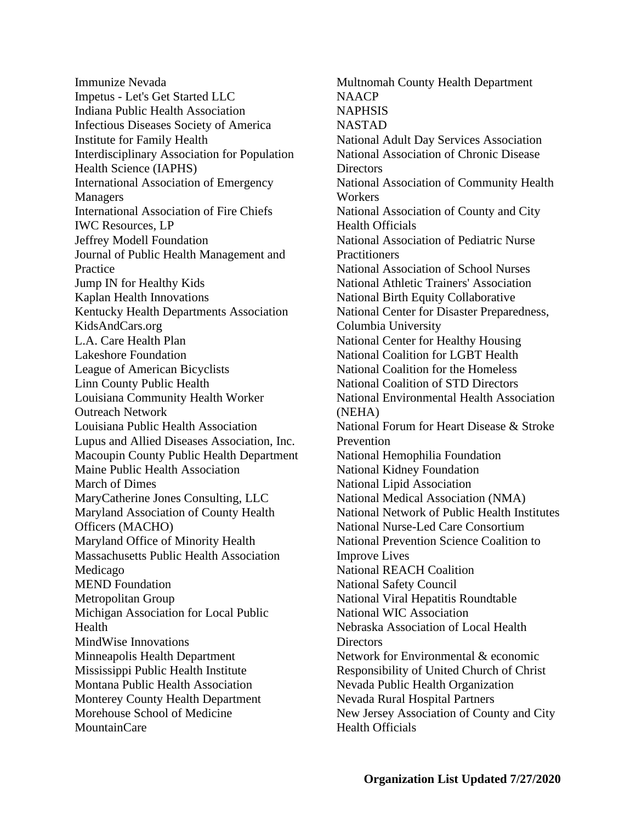Immunize Nevada Impetus - Let's Get Started LLC Indiana Public Health Association Infectious Diseases Society of America Institute for Family Health Interdisciplinary Association for Population Health Science (IAPHS) International Association of Emergency Managers International Association of Fire Chiefs IWC Resources, LP Jeffrey Modell Foundation Journal of Public Health Management and Practice Jump IN for Healthy Kids Kaplan Health Innovations Kentucky Health Departments Association KidsAndCars.org L.A. Care Health Plan Lakeshore Foundation League of American Bicyclists Linn County Public Health Louisiana Community Health Worker Outreach Network Louisiana Public Health Association Lupus and Allied Diseases Association, Inc. Macoupin County Public Health Department Maine Public Health Association March of Dimes MaryCatherine Jones Consulting, LLC Maryland Association of County Health Officers (MACHO) Maryland Office of Minority Health Massachusetts Public Health Association Medicago MEND Foundation Metropolitan Group Michigan Association for Local Public Health MindWise Innovations Minneapolis Health Department Mississippi Public Health Institute Montana Public Health Association Monterey County Health Department Morehouse School of Medicine MountainCare

Multnomah County Health Department **NAACP** NAPHSIS NASTAD National Adult Day Services Association National Association of Chronic Disease **Directors** National Association of Community Health Workers National Association of County and City Health Officials National Association of Pediatric Nurse **Practitioners** National Association of School Nurses National Athletic Trainers' Association National Birth Equity Collaborative National Center for Disaster Preparedness, Columbia University National Center for Healthy Housing National Coalition for LGBT Health National Coalition for the Homeless National Coalition of STD Directors National Environmental Health Association (NEHA) National Forum for Heart Disease & Stroke Prevention National Hemophilia Foundation National Kidney Foundation National Lipid Association National Medical Association (NMA) National Network of Public Health Institutes National Nurse-Led Care Consortium National Prevention Science Coalition to Improve Lives National REACH Coalition National Safety Council National Viral Hepatitis Roundtable National WIC Association Nebraska Association of Local Health Directors Network for Environmental & economic Responsibility of United Church of Christ Nevada Public Health Organization Nevada Rural Hospital Partners New Jersey Association of County and City Health Officials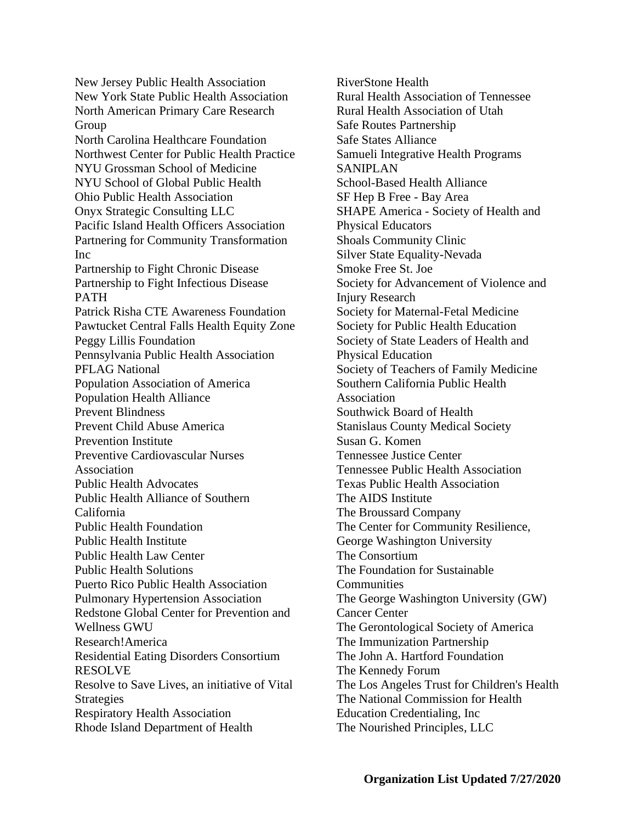New Jersey Public Health Association New York State Public Health Association North American Primary Care Research Group North Carolina Healthcare Foundation Northwest Center for Public Health Practice NYU Grossman School of Medicine NYU School of Global Public Health Ohio Public Health Association Onyx Strategic Consulting LLC Pacific Island Health Officers Association Partnering for Community Transformation Inc Partnership to Fight Chronic Disease Partnership to Fight Infectious Disease PATH Patrick Risha CTE Awareness Foundation Pawtucket Central Falls Health Equity Zone Peggy Lillis Foundation Pennsylvania Public Health Association PFLAG National Population Association of America Population Health Alliance Prevent Blindness Prevent Child Abuse America Prevention Institute Preventive Cardiovascular Nurses Association Public Health Advocates Public Health Alliance of Southern California Public Health Foundation Public Health Institute Public Health Law Center Public Health Solutions Puerto Rico Public Health Association Pulmonary Hypertension Association Redstone Global Center for Prevention and Wellness GWU Research!America Residential Eating Disorders Consortium RESOLVE Resolve to Save Lives, an initiative of Vital **Strategies** Respiratory Health Association Rhode Island Department of Health

RiverStone Health Rural Health Association of Tennessee Rural Health Association of Utah Safe Routes Partnership Safe States Alliance Samueli Integrative Health Programs SANIPLAN School-Based Health Alliance SF Hep B Free - Bay Area SHAPE America - Society of Health and Physical Educators Shoals Community Clinic Silver State Equality-Nevada Smoke Free St. Joe Society for Advancement of Violence and Injury Research Society for Maternal-Fetal Medicine Society for Public Health Education Society of State Leaders of Health and Physical Education Society of Teachers of Family Medicine Southern California Public Health Association Southwick Board of Health Stanislaus County Medical Society Susan G. Komen Tennessee Justice Center Tennessee Public Health Association Texas Public Health Association The AIDS Institute The Broussard Company The Center for Community Resilience, George Washington University The Consortium The Foundation for Sustainable Communities The George Washington University (GW) Cancer Center The Gerontological Society of America The Immunization Partnership The John A. Hartford Foundation The Kennedy Forum The Los Angeles Trust for Children's Health The National Commission for Health Education Credentialing, Inc The Nourished Principles, LLC